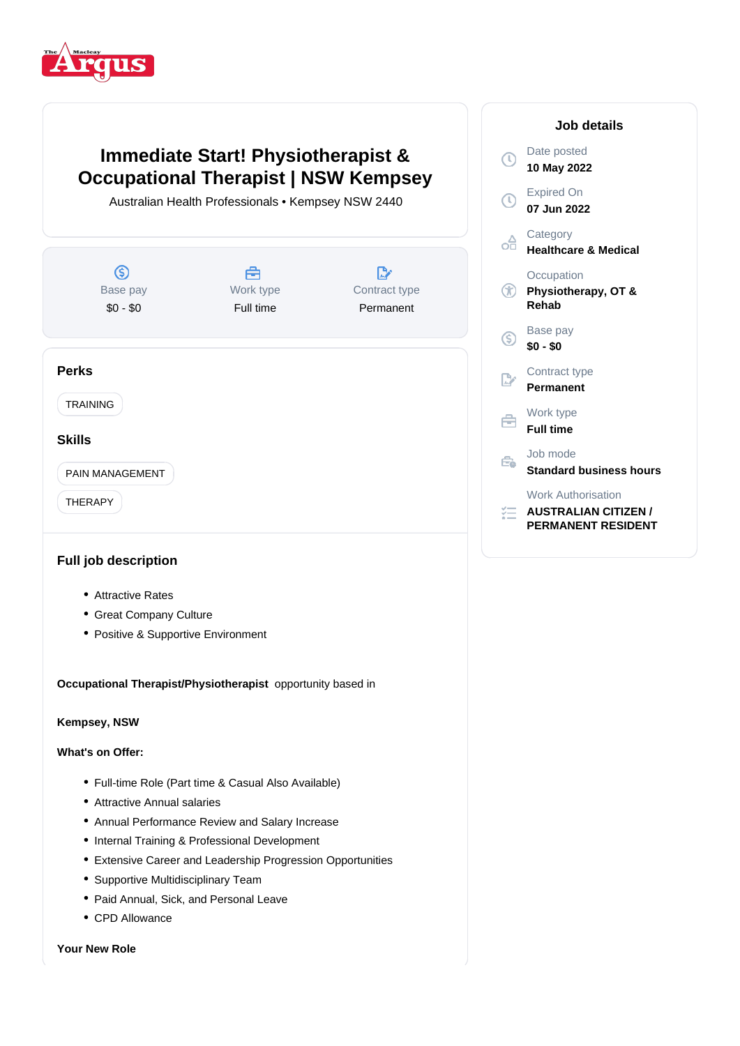

# **Immediate Start! Physiotherapist & Occupational Therapist | NSW Kempsey**

Australian Health Professionals • Kempsey NSW 2440



## **Full job description**

- Attractive Rates
- Great Company Culture
- Positive & Supportive Environment

**Occupational Therapist/Physiotherapist** opportunity based in

## **Kempsey, NSW**

#### **What's on Offer:**

- Full-time Role (Part time & Casual Also Available)
- Attractive Annual salaries
- Annual Performance Review and Salary Increase
- Internal Training & Professional Development
- Extensive Career and Leadership Progression Opportunities
- Supportive Multidisciplinary Team
- Paid Annual, Sick, and Personal Leave
- CPD Allowance

#### **Your New Role**